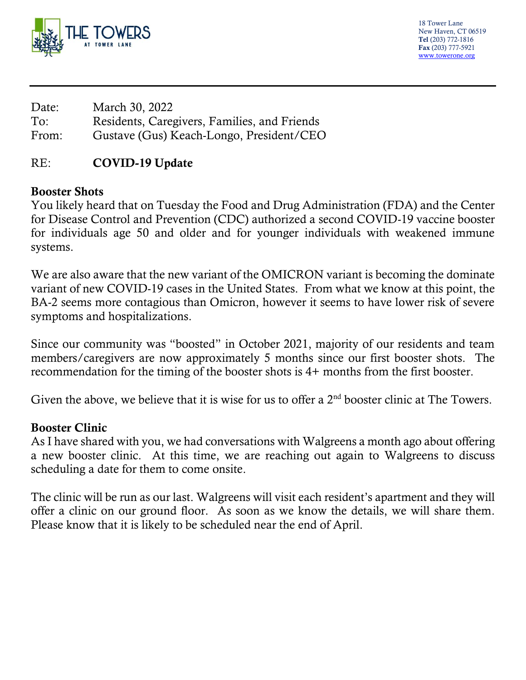

18 Tower Lane New Haven, CT 06519 Tel (203) 772-1816 Fax (203) 777-5921 [www.towerone.org](http://www.towerone.org/)

| Date: | March 30, 2022                               |
|-------|----------------------------------------------|
| To:   | Residents, Caregivers, Families, and Friends |
| From: | Gustave (Gus) Keach-Longo, President/CEO     |

## RE: COVID-19 Update

### Booster Shots

You likely heard that on Tuesday the Food and Drug Administration (FDA) and the Center for Disease Control and Prevention (CDC) authorized a second COVID-19 vaccine booster for individuals age 50 and older and for younger individuals with weakened immune systems.

We are also aware that the new variant of the OMICRON variant is becoming the dominate variant of new COVID-19 cases in the United States. From what we know at this point, the BA-2 seems more contagious than Omicron, however it seems to have lower risk of severe symptoms and hospitalizations.

Since our community was "boosted" in October 2021, majority of our residents and team members/caregivers are now approximately 5 months since our first booster shots. The recommendation for the timing of the booster shots is 4+ months from the first booster.

Given the above, we believe that it is wise for us to offer a 2<sup>nd</sup> booster clinic at The Towers.

### Booster Clinic

As I have shared with you, we had conversations with Walgreens a month ago about offering a new booster clinic. At this time, we are reaching out again to Walgreens to discuss scheduling a date for them to come onsite.

The clinic will be run as our last. Walgreens will visit each resident's apartment and they will offer a clinic on our ground floor. As soon as we know the details, we will share them. Please know that it is likely to be scheduled near the end of April.